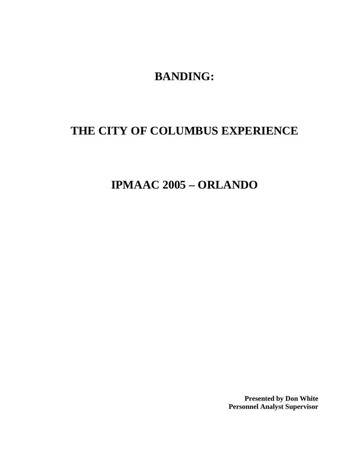**BANDING:** 

# **THE CITY OF COLUMBUS EXPERIENCE**

**IPMAAC 2005 – ORLANDO** 

**Presented by Don White Personnel Analyst Supervisor**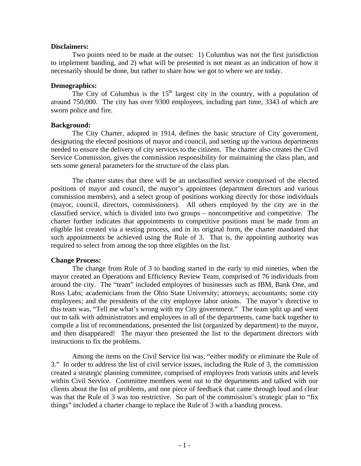#### **Disclaimers:**

 Two points need to be made at the outset: 1) Columbus was not the first jurisdiction to implement banding, and 2) what will be presented is not meant as an indication of how it necessarily should be done, but rather to share how we got to where we are today.

#### **Demographics:**

The City of Columbus is the  $15<sup>th</sup>$  largest city in the country, with a population of around 750,000. The city has over 9300 employees, including part time, 3343 of which are sworn police and fire.

## **Background:**

 The City Charter, adopted in 1914, defines the basic structure of City government, designating the elected positions of mayor and council, and setting up the various departments needed to ensure the delivery of city services to the citizens. The charter also creates the Civil Service Commission, gives the commission responsibility for maintaining the class plan, and sets some general parameters for the structure of the class plan.

 The charter states that there will be an unclassified service comprised of the elected positions of mayor and council, the mayor's appointees (department directors and various commission members), and a select group of positions working directly for those individuals (mayor, council, directors, commissioners). All others employed by the city are in the classified service, which is divided into two groups – noncompetitive and competitive. The charter further indicates that appointments to competitive positions must be made from an eligible list created via a testing process, and in its original form, the charter mandated that such appointments be achieved using the Rule of 3. That is, the appointing authority was required to select from among the top three eligibles on the list.

## **Change Process:**

 The change from Rule of 3 to banding started in the early to mid nineties, when the mayor created an Operations and Efficiency Review Team, comprised of 76 individuals from around the city. The "team" included employees of businesses such as IBM, Bank One, and Ross Labs; academicians from the Ohio State University; attorneys; accountants; some city employees; and the presidents of the city employee labor unions. The mayor's directive to this team was, "Tell me what's wrong with my City government." The team split up and went out to talk with administrators and employees in all of the departments, came back together to compile a list of recommendations, presented the list (organized by department) to the mayor, and then disappeared! The mayor then presented the list to the department directors with instructions to fix the problems.

 Among the items on the Civil Service list was, "either modify or eliminate the Rule of 3." In order to address the list of civil service issues, including the Rule of 3, the commission created a strategic planning committee, comprised of employees from various units and levels within Civil Service. Committee members went out to the departments and talked with our clients about the list of problems, and one piece of feedback that came through loud and clear was that the Rule of 3 was too restrictive. So part of the commission's strategic plan to "fix things" included a charter change to replace the Rule of 3 with a banding process.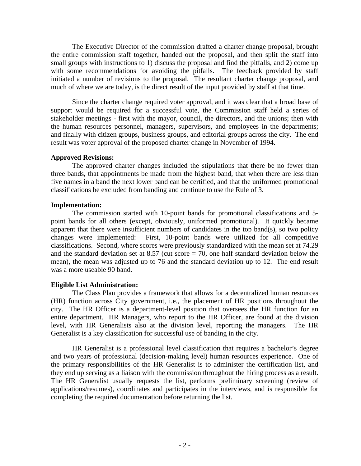The Executive Director of the commission drafted a charter change proposal, brought the entire commission staff together, handed out the proposal, and then split the staff into small groups with instructions to 1) discuss the proposal and find the pitfalls, and 2) come up with some recommendations for avoiding the pitfalls. The feedback provided by staff initiated a number of revisions to the proposal. The resultant charter change proposal, and much of where we are today, is the direct result of the input provided by staff at that time.

 Since the charter change required voter approval, and it was clear that a broad base of support would be required for a successful vote, the Commission staff held a series of stakeholder meetings - first with the mayor, council, the directors, and the unions; then with the human resources personnel, managers, supervisors, and employees in the departments; and finally with citizen groups, business groups, and editorial groups across the city. The end result was voter approval of the proposed charter change in November of 1994.

#### **Approved Revisions:**

 The approved charter changes included the stipulations that there be no fewer than three bands, that appointments be made from the highest band, that when there are less than five names in a band the next lower band can be certified, and that the uniformed promotional classifications be excluded from banding and continue to use the Rule of 3.

#### **Implementation:**

 The commission started with 10-point bands for promotional classifications and 5 point bands for all others (except, obviously, uniformed promotional). It quickly became apparent that there were insufficient numbers of candidates in the top band(s), so two policy changes were implemented: First, 10-point bands were utilized for all competitive classifications. Second, where scores were previously standardized with the mean set at 74.29 and the standard deviation set at  $8.57$  (cut score  $= 70$ , one half standard deviation below the mean), the mean was adjusted up to 76 and the standard deviation up to 12. The end result was a more useable 90 band.

#### **Eligible List Administration:**

 The Class Plan provides a framework that allows for a decentralized human resources (HR) function across City government, i.e., the placement of HR positions throughout the city. The HR Officer is a department-level position that oversees the HR function for an entire department. HR Managers, who report to the HR Officer, are found at the division level, with HR Generalists also at the division level, reporting the managers. The HR Generalist is a key classification for successful use of banding in the city.

 HR Generalist is a professional level classification that requires a bachelor's degree and two years of professional (decision-making level) human resources experience. One of the primary responsibilities of the HR Generalist is to administer the certification list, and they end up serving as a liaison with the commission throughout the hiring process as a result. The HR Generalist usually requests the list, performs preliminary screening (review of applications/resumes), coordinates and participates in the interviews, and is responsible for completing the required documentation before returning the list.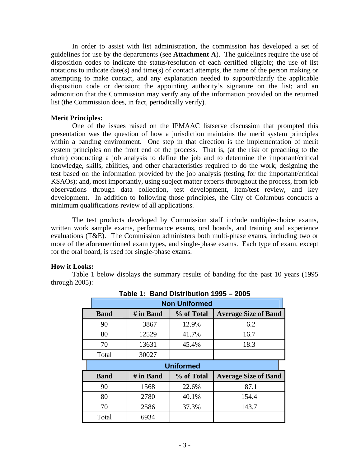In order to assist with list administration, the commission has developed a set of guidelines for use by the departments (see **Attachment A**). The guidelines require the use of disposition codes to indicate the status/resolution of each certified eligible; the use of list notations to indicate date(s) and time(s) of contact attempts, the name of the person making or attempting to make contact, and any explanation needed to support/clarify the applicable disposition code or decision; the appointing authority's signature on the list; and an admonition that the Commission may verify any of the information provided on the returned list (the Commission does, in fact, periodically verify).

#### **Merit Principles:**

 One of the issues raised on the IPMAAC listserve discussion that prompted this presentation was the question of how a jurisdiction maintains the merit system principles within a banding environment. One step in that direction is the implementation of merit system principles on the front end of the process. That is, (at the risk of preaching to the choir) conducting a job analysis to define the job and to determine the important/critical knowledge, skills, abilities, and other characteristics required to do the work; designing the test based on the information provided by the job analysis (testing for the important/critical KSAOs); and, most importantly, using subject matter experts throughout the process, from job observations through data collection, test development, item/test review, and key development. In addition to following those principles, the City of Columbus conducts a minimum qualifications review of all applications.

The test products developed by Commission staff include multiple-choice exams, written work sample exams, performance exams, oral boards, and training and experience evaluations (T&E). The Commission administers both multi-phase exams, including two or more of the aforementioned exam types, and single-phase exams. Each type of exam, except for the oral board, is used for single-phase exams.

## **How it Looks:**

Table 1 below displays the summary results of banding for the past 10 years (1995 through 2005):

| <b>Non Uniformed</b> |           |            |                             |  |  |
|----------------------|-----------|------------|-----------------------------|--|--|
| <b>Band</b>          | # in Band | % of Total | <b>Average Size of Band</b> |  |  |
| 90                   | 3867      | 12.9%      | 6.2                         |  |  |
| 80                   | 12529     | 41.7%      | 16.7                        |  |  |
| 70                   | 13631     | 45.4%      | 18.3                        |  |  |
| Total                | 30027     |            |                             |  |  |
| <b>Uniformed</b>     |           |            |                             |  |  |
|                      |           |            |                             |  |  |
| <b>Band</b>          | # in Band | % of Total | <b>Average Size of Band</b> |  |  |
| 90                   | 1568      | 22.6%      | 87.1                        |  |  |
| 80                   | 2780      | 40.1%      | 154.4                       |  |  |
| 70                   | 2586      | 37.3%      | 143.7                       |  |  |

**Table 1: Band Distribution 1995 – 2005**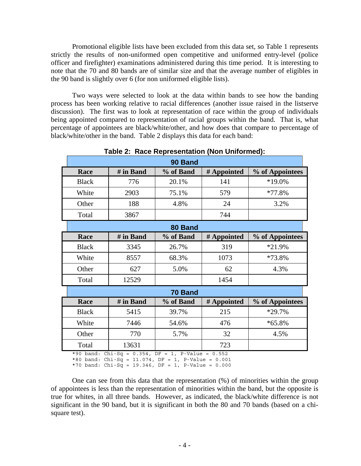Promotional eligible lists have been excluded from this data set, so Table 1 represents strictly the results of non-uniformed open competitive and uniformed entry-level (police officer and firefighter) examinations administered during this time period. It is interesting to note that the 70 and 80 bands are of similar size and that the average number of eligibles in the 90 band is slightly over 6 (for non uniformed eligible lists).

Two ways were selected to look at the data within bands to see how the banding process has been working relative to racial differences (another issue raised in the listserve discussion). The first was to look at representation of race within the group of individuals being appointed compared to representation of racial groups within the band. That is, what percentage of appointees are black/white/other, and how does that compare to percentage of black/white/other in the band. Table 2 displays this data for each band:

| 90 Band      |                                              |           |             |                 |  |  |
|--------------|----------------------------------------------|-----------|-------------|-----------------|--|--|
| Race         | # in Band                                    | % of Band | # Appointed | % of Appointees |  |  |
| <b>Black</b> | 776                                          | 20.1%     | 141         | *19.0%          |  |  |
| White        | 2903                                         | 75.1%     | 579         | *77.8%          |  |  |
| Other        | 188                                          | 4.8%      | 24          | 3.2%            |  |  |
| Total        | 3867                                         |           | 744         |                 |  |  |
|              |                                              | 80 Band   |             |                 |  |  |
| Race         | # in Band                                    | % of Band | # Appointed | % of Appointees |  |  |
| <b>Black</b> | 3345                                         | 26.7%     | 319         | *21.9%          |  |  |
| White        | 8557                                         | 68.3%     | 1073        | *73.8%          |  |  |
| Other        | 627                                          | 5.0%      | 62          | 4.3%            |  |  |
| Total        | 12529                                        |           | 1454        |                 |  |  |
|              |                                              | 70 Band   |             |                 |  |  |
| Race         | # in Band                                    | % of Band | # Appointed | % of Appointees |  |  |
| <b>Black</b> | 5415                                         | 39.7%     | 215         | *29.7%          |  |  |
| White        | 7446                                         | 54.6%     | 476         | $*65.8%$        |  |  |
| Other        | 770                                          | 5.7%      | 32          | 4.5%            |  |  |
| Total        | 13631                                        |           | 723         |                 |  |  |
| *90 band:    | Chi-Sq = $0.354$ , DF = 1, P-Value = $0.552$ |           |             |                 |  |  |

**Table 2: Race Representation (Non Uniformed):** 

\*80 band: Chi-Sq = 11.074, DF = 1, P-Value = 0.001

\*70 band: Chi-Sq = 19.346, DF = 1, P-Value =  $0.000$ 

One can see from this data that the representation (%) of minorities within the group of appointees is less than the representation of minorities within the band, but the opposite is true for whites, in all three bands. However, as indicated, the black/white difference is not significant in the 90 band, but it is significant in both the 80 and 70 bands (based on a chisquare test).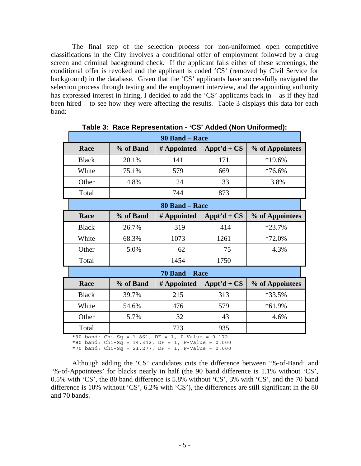The final step of the selection process for non-uniformed open competitive classifications in the City involves a conditional offer of employment followed by a drug screen and criminal background check. If the applicant fails either of these screenings, the conditional offer is revoked and the applicant is coded 'CS' (removed by Civil Service for background) in the database. Given that the 'CS' applicants have successfully navigated the selection process through testing and the employment interview, and the appointing authority has expressed interest in hiring, I decided to add the 'CS' applicants back in – as if they had been hired – to see how they were affecting the results. Table 3 displays this data for each band:

|              | 90 Band – Race |             |               |                 |  |
|--------------|----------------|-------------|---------------|-----------------|--|
| Race         | % of Band      | # Appointed | Appt'd + $CS$ | % of Appointees |  |
| <b>Black</b> | 20.1%          | 141         | 171           | $*19.6%$        |  |
| White        | 75.1%          | 579         | 669           | $*76.6%$        |  |
| Other        | 4.8%           | 24          | 33            | 3.8%            |  |
| Total        |                | 744         | 873           |                 |  |

**Table 3: Race Representation - 'CS' Added (Non Uniformed):** 

| 80 Band – Race |           |             |               |                 |
|----------------|-----------|-------------|---------------|-----------------|
| Race           | % of Band | # Appointed | Appt'd + $CS$ | % of Appointees |
| <b>Black</b>   | 26.7%     | 319         | 414           | $*23.7\%$       |
| White          | 68.3%     | 1073        | 1261          | $*72.0\%$       |
| Other          | 5.0%      | 62          | 75            | 4.3%            |
| Total          |           | 1454        | 1750          |                 |

|                                                                      | 70 Band – Race |     |     |           |  |
|----------------------------------------------------------------------|----------------|-----|-----|-----------|--|
| Appt'd + $CS$<br>% of Appointees<br># Appointed<br>% of Band<br>Race |                |     |     |           |  |
| <b>Black</b>                                                         | 39.7%          | 215 | 313 | $*33.5%$  |  |
| White                                                                | 54.6%          | 476 | 579 | $*61.9\%$ |  |
| Other                                                                | 5.7%           | 32  | 43  | 4.6%      |  |
| Total                                                                |                | 723 | 935 |           |  |

\*90 band: Chi-Sq = 1.861, DF = 1, P-Value = 0.172

\*80 band: Chi-Sq = 14.342, DF = 1, P-Value = 0.000

\*70 band: Chi-Sq = 21.277, DF = 1, P-Value = 0.000

Although adding the 'CS' candidates cuts the difference between '%-of-Band' and '%-of-Appointees' for blacks nearly in half (the 90 band difference is 1.1% without 'CS', 0.5% with 'CS', the 80 band difference is 5.8% without 'CS', 3% with 'CS', and the 70 band difference is 10% without 'CS', 6.2% with 'CS'), the differences are still significant in the 80 and 70 bands.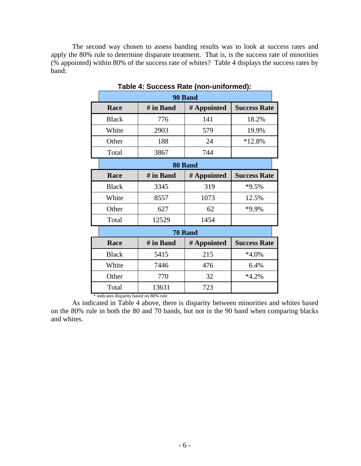The second way chosen to assess banding results was to look at success rates and apply the 80% rule to determine disparate treatment. That is, is the success rate of minorities (% appointed) within 80% of the success rate of whites? Table 4 displays the success rates by band:

|              | 90 Band   |             |                     |  |  |  |
|--------------|-----------|-------------|---------------------|--|--|--|
| Race         | # in Band | # Appointed | <b>Success Rate</b> |  |  |  |
| <b>Black</b> | 776       | 141         | 18.2%               |  |  |  |
| White        | 2903      | 579         | 19.9%               |  |  |  |
| Other        | 188       | 24          | $*12.8%$            |  |  |  |
| Total        | 3867      | 744         |                     |  |  |  |
|              |           | 80 Band     |                     |  |  |  |
| Race         | # in Band | # Appointed | <b>Success Rate</b> |  |  |  |
| <b>Black</b> | 3345      | 319         | *9.5%               |  |  |  |
| White        | 8557      | 1073        | 12.5%               |  |  |  |
| Other        | 627       | 62          | *9.9%               |  |  |  |
| Total        | 12529     | 1454        |                     |  |  |  |
|              |           | 70 Band     |                     |  |  |  |
| Race         | # in Band | # Appointed | <b>Success Rate</b> |  |  |  |
| <b>Black</b> | 5415      | 215         | $*4.0\%$            |  |  |  |
| White        | 7446      | 476         | 6.4%                |  |  |  |
| Other        | 770       | 32          | $*4.2%$             |  |  |  |
| Total        | 13631     | 723         |                     |  |  |  |

**Table 4: Success Rate (non-uniformed):** 

\* indicates disparity based on 80% rule

As indicated in Table 4 above, there is disparity between minorities and whites based on the 80% rule in both the 80 and 70 bands, but not in the 90 band when comparing blacks and whites.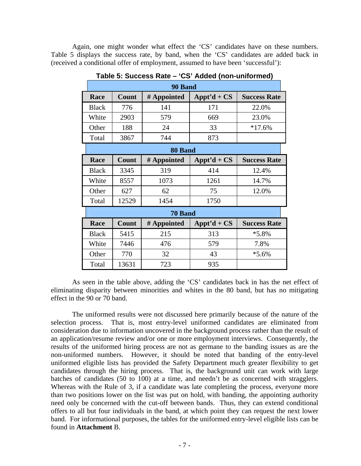Again, one might wonder what effect the 'CS' candidates have on these numbers. Table 5 displays the success rate, by band, when the 'CS' candidates are added back in (received a conditional offer of employment, assumed to have been 'successful'):

|              | 90 Band |                |                |                     |  |  |
|--------------|---------|----------------|----------------|---------------------|--|--|
| Race         | Count   | # Appointed    | Appt'd + $CS$  | <b>Success Rate</b> |  |  |
| <b>Black</b> | 776     | 141            | 171            | 22.0%               |  |  |
| White        | 2903    | 579            | 669            | 23.0%               |  |  |
| Other        | 188     | 24             | 33             | $*17.6%$            |  |  |
| Total        | 3867    | 744            | 873            |                     |  |  |
|              |         | 80 Band        |                |                     |  |  |
| Race         | Count   | # Appointed    | $A$ ppt'd + CS | <b>Success Rate</b> |  |  |
| <b>Black</b> | 3345    | 319            | 414            | 12.4%               |  |  |
| White        | 8557    | 1073           | 1261           | 14.7%               |  |  |
| Other        | 627     | 62             | 75             | 12.0%               |  |  |
| Total        | 12529   | 1454           | 1750           |                     |  |  |
|              |         | <b>70 Band</b> |                |                     |  |  |
| Race         | Count   | # Appointed    | Appt'd + $CS$  | <b>Success Rate</b> |  |  |
| <b>Black</b> | 5415    | 215            | 313            | $*5.8\%$            |  |  |
| White        | 7446    | 476            | 579            | 7.8%                |  |  |
| Other        | 770     | 32             | 43             | $*5.6\%$            |  |  |
| Total        | 13631   | 723            | 935            |                     |  |  |

**Table 5: Success Rate – 'CS' Added (non-uniformed)** 

As seen in the table above, adding the 'CS' candidates back in has the net effect of eliminating disparity between minorities and whites in the 80 band, but has no mitigating effect in the 90 or 70 band.

The uniformed results were not discussed here primarily because of the nature of the selection process. That is, most entry-level uniformed candidates are eliminated from consideration due to information uncovered in the background process rather than the result of an application/resume review and/or one or more employment interviews. Consequently, the results of the uniformed hiring process are not as germane to the banding issues as are the non-uniformed numbers. However, it should be noted that banding of the entry-level uniformed eligible lists has provided the Safety Department much greater flexibility to get candidates through the hiring process. That is, the background unit can work with large batches of candidates (50 to 100) at a time, and needn't be as concerned with stragglers. Whereas with the Rule of 3, if a candidate was late completing the process, everyone more than two positions lower on the list was put on hold, with banding, the appointing authority need only be concerned with the cut-off between bands. Thus, they can extend conditional offers to all but four individuals in the band, at which point they can request the next lower band. For informational purposes, the tables for the uniformed entry-level eligible lists can be found in **Attachment** B.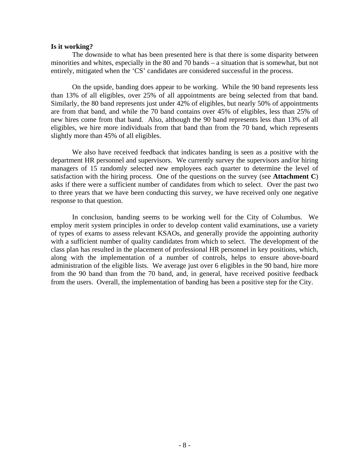#### **Is it working?**

The downside to what has been presented here is that there is some disparity between minorities and whites, especially in the 80 and 70 bands – a situation that is somewhat, but not entirely, mitigated when the 'CS' candidates are considered successful in the process.

On the upside, banding does appear to be working. While the 90 band represents less than 13% of all eligibles, over 25% of all appointments are being selected from that band. Similarly, the 80 band represents just under 42% of eligibles, but nearly 50% of appointments are from that band, and while the 70 band contains over 45% of eligibles, less than 25% of new hires come from that band. Also, although the 90 band represents less than 13% of all eligibles, we hire more individuals from that band than from the 70 band, which represents slightly more than 45% of all eligibles.

We also have received feedback that indicates banding is seen as a positive with the department HR personnel and supervisors. We currently survey the supervisors and/or hiring managers of 15 randomly selected new employees each quarter to determine the level of satisfaction with the hiring process. One of the questions on the survey (see **Attachment C**) asks if there were a sufficient number of candidates from which to select. Over the past two to three years that we have been conducting this survey, we have received only one negative response to that question.

In conclusion, banding seems to be working well for the City of Columbus. We employ merit system principles in order to develop content valid examinations, use a variety of types of exams to assess relevant KSAOs, and generally provide the appointing authority with a sufficient number of quality candidates from which to select. The development of the class plan has resulted in the placement of professional HR personnel in key positions, which, along with the implementation of a number of controls, helps to ensure above-board administration of the eligible lists. We average just over 6 eligibles in the 90 band, hire more from the 90 band than from the 70 band, and, in general, have received positive feedback from the users. Overall, the implementation of banding has been a positive step for the City.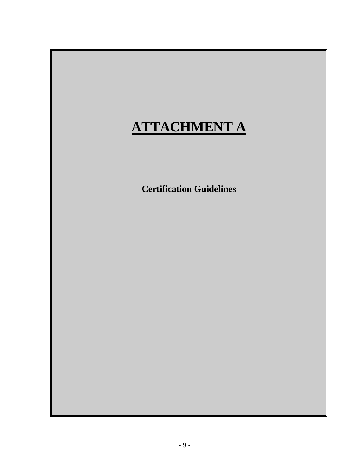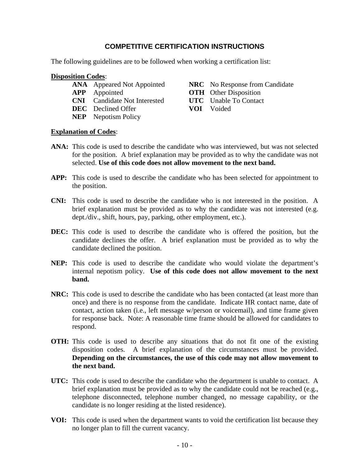# **COMPETITIVE CERTIFICATION INSTRUCTIONS**

The following guidelines are to be followed when working a certification list:

## **Disposition Codes**:

- 
- 
- **CNI** Candidate Not Interested **UTC** Unable To Contact
- **DEC** Declined Offer **VOI** Voided
- **NEP** Nepotism Policy

**ANA** Appeared Not Appointed **NRC** No Response from Candidate

- **APP** Appointed **OTH** Other Disposition
	-
	-

# **Explanation of Codes**:

- **ANA:** This code is used to describe the candidate who was interviewed, but was not selected for the position. A brief explanation may be provided as to why the candidate was not selected. **Use of this code does not allow movement to the next band.**
- **APP:** This code is used to describe the candidate who has been selected for appointment to the position.
- **CNI:** This code is used to describe the candidate who is not interested in the position. A brief explanation must be provided as to why the candidate was not interested (e.g. dept./div., shift, hours, pay, parking, other employment, etc.).
- **DEC:** This code is used to describe the candidate who is offered the position, but the candidate declines the offer. A brief explanation must be provided as to why the candidate declined the position.
- **NEP:** This code is used to describe the candidate who would violate the department's internal nepotism policy. **Use of this code does not allow movement to the next band.**
- **NRC:** This code is used to describe the candidate who has been contacted (at least more than once) and there is no response from the candidate. Indicate HR contact name, date of contact, action taken (i.e., left message w/person or voicemail), and time frame given for response back. Note: A reasonable time frame should be allowed for candidates to respond.
- **OTH:** This code is used to describe any situations that do not fit one of the existing disposition codes. A brief explanation of the circumstances must be provided. **Depending on the circumstances, the use of this code may not allow movement to the next band.**
- **UTC:** This code is used to describe the candidate who the department is unable to contact. A brief explanation must be provided as to why the candidate could not be reached (e.g., telephone disconnected, telephone number changed, no message capability, or the candidate is no longer residing at the listed residence).
- **VOI:** This code is used when the department wants to void the certification list because they no longer plan to fill the current vacancy.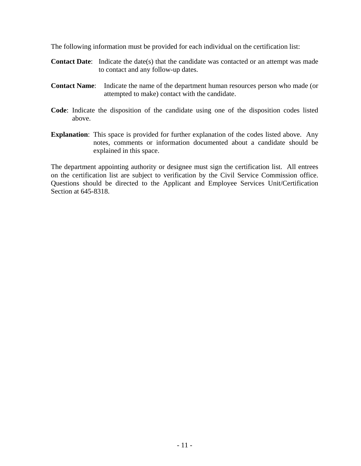The following information must be provided for each individual on the certification list:

- **Contact Date:** Indicate the date(s) that the candidate was contacted or an attempt was made to contact and any follow-up dates.
- **Contact Name**: Indicate the name of the department human resources person who made (or attempted to make) contact with the candidate.
- **Code**: Indicate the disposition of the candidate using one of the disposition codes listed above.
- **Explanation**: This space is provided for further explanation of the codes listed above. Any notes, comments or information documented about a candidate should be explained in this space.

The department appointing authority or designee must sign the certification list. All entrees on the certification list are subject to verification by the Civil Service Commission office. Questions should be directed to the Applicant and Employee Services Unit/Certification Section at 645-8318.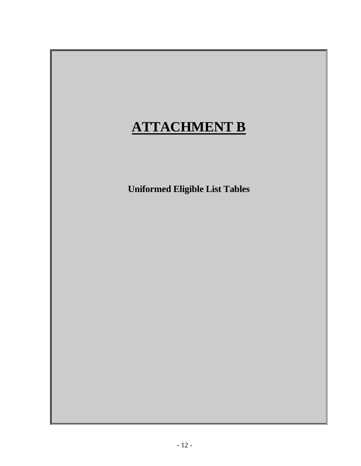# **ATTACHMENT B**

**Uniformed Eligible List Tables**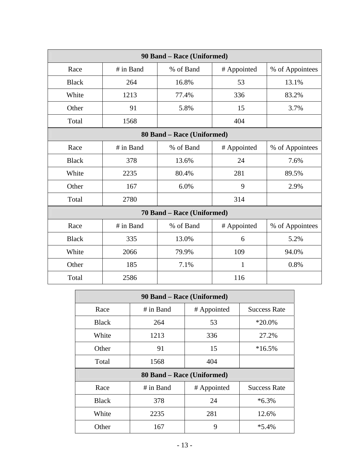| 90 Band - Race (Uniformed) |           |                            |              |                 |  |
|----------------------------|-----------|----------------------------|--------------|-----------------|--|
| Race                       | # in Band | % of Band                  | # Appointed  | % of Appointees |  |
| <b>Black</b>               | 264       | 16.8%                      | 53           | 13.1%           |  |
| White                      | 1213      | 77.4%                      | 336          | 83.2%           |  |
| Other                      | 91        | 5.8%                       | 15           | 3.7%            |  |
| Total                      | 1568      |                            | 404          |                 |  |
|                            |           | 80 Band – Race (Uniformed) |              |                 |  |
| Race                       | # in Band | % of Band                  | # Appointed  | % of Appointees |  |
| <b>Black</b>               | 378       | 13.6%                      | 24           | 7.6%            |  |
| White                      | 2235      | 80.4%                      | 281          | 89.5%           |  |
| Other                      | 167       | 6.0%                       | 9            | 2.9%            |  |
| Total                      | 2780      |                            | 314          |                 |  |
|                            |           | 70 Band - Race (Uniformed) |              |                 |  |
| Race                       | # in Band | % of Band                  | # Appointed  | % of Appointees |  |
| <b>Black</b>               | 335       | 13.0%                      | 6            | 5.2%            |  |
| White                      | 2066      | 79.9%                      | 109          | 94.0%           |  |
| Other                      | 185       | 7.1%                       | $\mathbf{1}$ | 0.8%            |  |
| Total                      | 2586      |                            | 116          |                 |  |

| 90 Band - Race (Uniformed) |                            |             |                     |  |  |  |
|----------------------------|----------------------------|-------------|---------------------|--|--|--|
| Race                       | # in Band                  | # Appointed | <b>Success Rate</b> |  |  |  |
| <b>Black</b>               | 264                        | 53          | $*20.0\%$           |  |  |  |
| White                      | 1213                       | 336         | 27.2%               |  |  |  |
| Other                      | 91                         | 15          | $*16.5%$            |  |  |  |
| Total                      | 1568                       | 404         |                     |  |  |  |
|                            | 80 Band – Race (Uniformed) |             |                     |  |  |  |
| Race                       | # in Band                  | # Appointed | <b>Success Rate</b> |  |  |  |
| <b>Black</b>               | 378                        | 24          | $*6.3\%$            |  |  |  |
| White                      | 2235                       | 281         | 12.6%               |  |  |  |
| Other                      | 167                        | 9           | $*5.4%$             |  |  |  |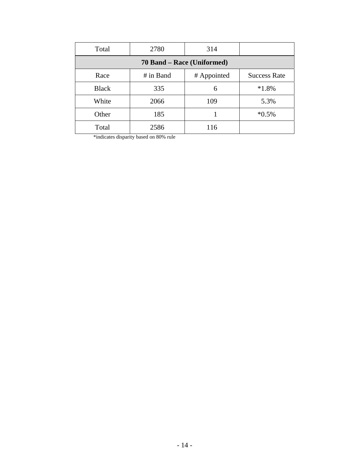| Total                      | 2780        | 314         |                     |  |  |
|----------------------------|-------------|-------------|---------------------|--|--|
| 70 Band – Race (Uniformed) |             |             |                     |  |  |
| Race                       | $#$ in Band | # Appointed | <b>Success Rate</b> |  |  |
| <b>Black</b>               | 335         | 6           | $*1.8%$             |  |  |
| White                      | 2066        | 109         | 5.3%                |  |  |
| Other                      | 185         |             | $*0.5\%$            |  |  |
| Total                      | 2586        | 116         |                     |  |  |

\*indicates disparity based on 80% rule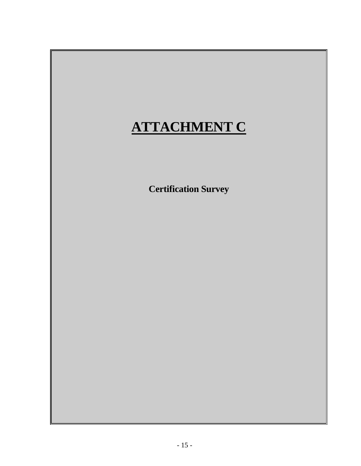